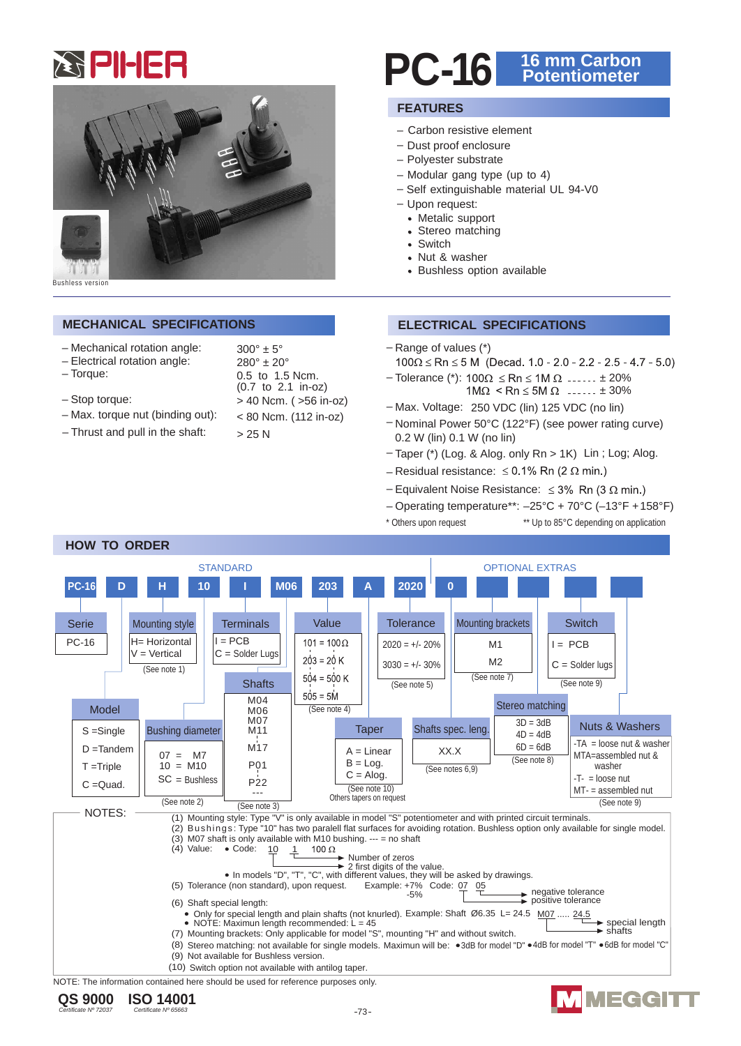



Bushless version

## **MECHANICAL SPECIFICATIONS ELECTRICAL SPECIFICATIONS**

- Mechanical rotation angle:
- Electrical rotation angle:
- Torque: 0.5 to 1.5 Ncm.
- $-$  Stop torque:
- $-$  Max. torque nut (binding out):
- $-$  Thrust and pull in the shaft:

| $300^\circ \pm 5^\circ$  |
|--------------------------|
| $280^\circ \pm 20^\circ$ |
| 0.5 to 1.5 Ncm.          |
| (0.7 to 2.1 in-oz)       |
| > 40 Ncm. ( >56 in-oz)   |
| < 80 Ncm. (112 in-oz)    |
| > 25 N                   |

# **PC-16 16 mm Carbon Potentiometer**

# **FEATURES**

- Carbon resistive element
- Dust proof enclosure
- Polyester substrate
- Modular gang type (up to 4)
- Self extinguishable material UL 94-V0
- Upon request:
	- Metalic support
	- Stereo matching
	- Switch
	- Nut & washer
	- Bushless option available

- Range of values (\*)
- $100\Omega \le Rn \le 5$  M (Decad. 1.0 2.0 2.2 2.5 4.7 5.0)
- Tolerance (\*):  $100\Omega \le Rn \le 1M \Omega$  ...... ± 20%  $1M\Omega$  < Rn  $\leq 5M\Omega$  ......  $\pm 30\%$
- Max. Voltage: 250 VDC (lin) 125 VDC (no lin)
- Nominal Power 50°C (122°F) (see power rating curve) 0.2 W (lin) 0.1 W (no lin)
- Taper (\*) (Log. & Alog. only Rn > 1K) Lin ; Log; Alog.
- Residual resistance:  $\leq$  0.1% Rn (2  $\Omega$  min.)
- Equivalent Noise Resistance:  $\leq 3\%$  Rn (3  $\Omega$  min.)
- Operating temperature\*\*: –25°C + 70°C (–13°F + 158°F)
- \* Others upon request \*\* Up to 85°C depending on application

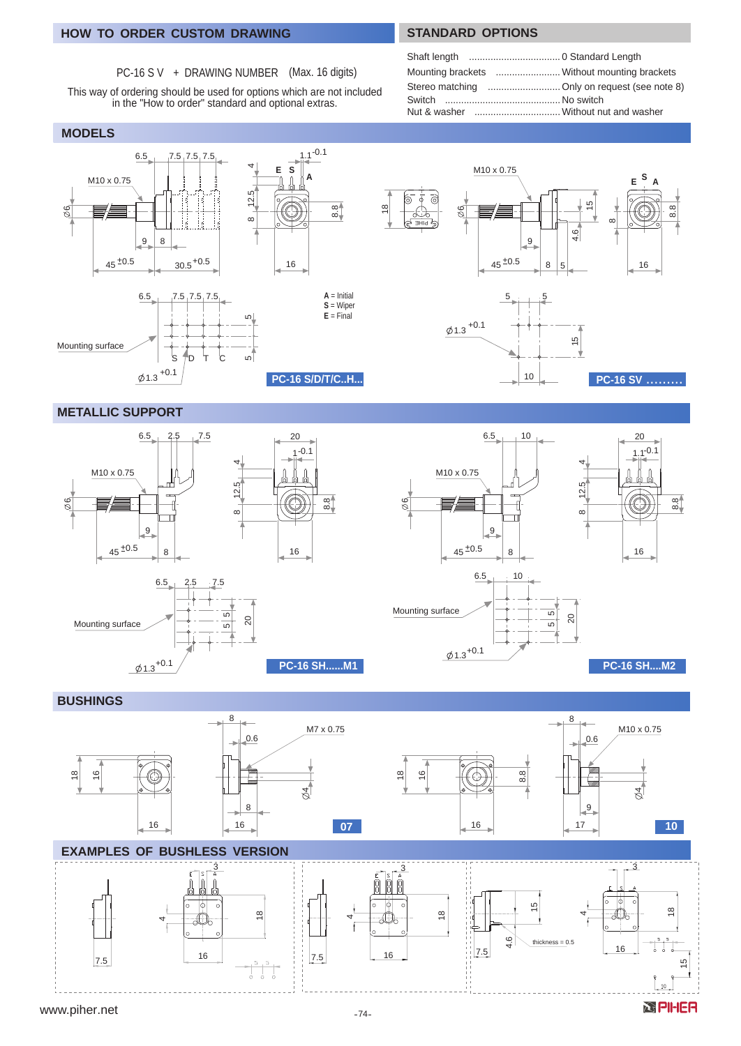# **HOW TO ORDER CUSTOM DRAWING STANDARD OPTIONS**

# PC-16 S V + DRAWING NUMBER (Max. 16 digits)

This way of ordering should be used for options which are not included in the "How to order" standard and optional extras.

## **MODELS**

| Mounting brackets  Without mounting brackets |  |
|----------------------------------------------|--|
|                                              |  |
|                                              |  |
|                                              |  |



# **METALLIC SUPPORT**





*<b>SPHER* 

### **BUSHINGS**

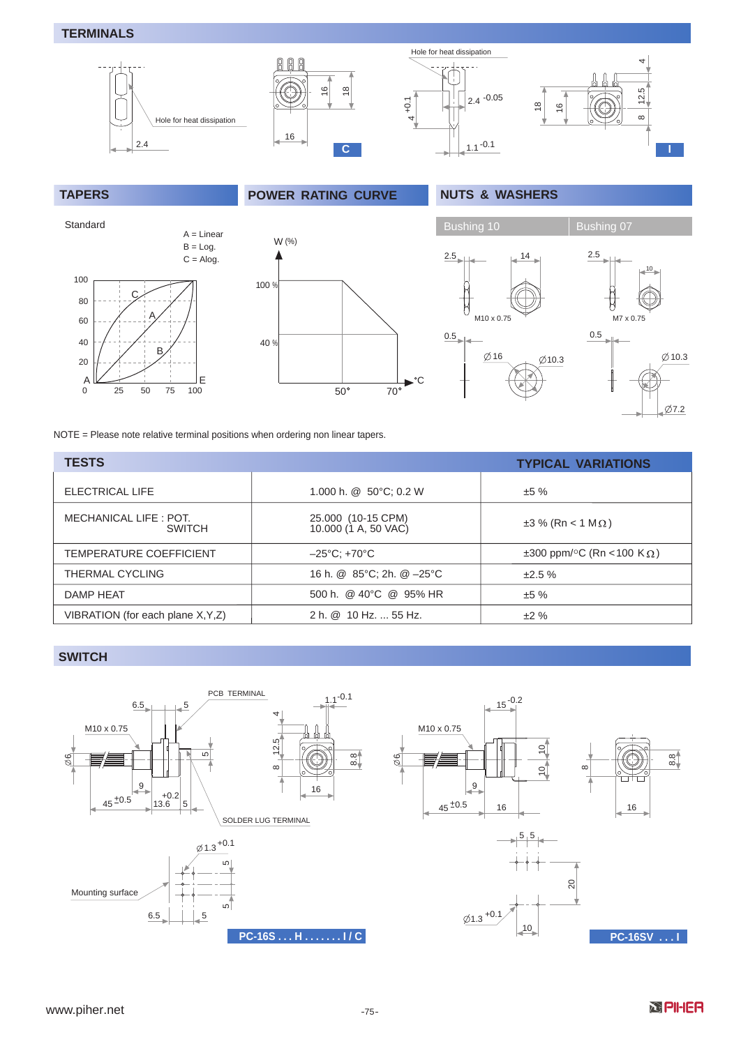# **TERMINALS**



**TAPERS POWER RATING CURVE NUTS & WASHERS**



M7 x 0.75  $10<sub>1</sub>$ 2.5 0.5  $\emptyset$ 10.3  $\emptyset$ 7.2

NOTE = Please note relative terminal positions when ordering non linear tapers.

| <b>TESTS</b>                            |                                            | <b>TYPICAL VARIATIONS</b>                            |
|-----------------------------------------|--------------------------------------------|------------------------------------------------------|
| ELECTRICAL LIFE                         | 1.000 h. $@$ 50 $°C$ ; 0.2 W               | ±5%                                                  |
| MECHANICAL LIFE : POT.<br><b>SWITCH</b> | 25.000 (10-15 CPM)<br>10.000 (1 A, 50 VAC) | $\pm 3$ % (Rn < 1 M $\Omega$ )                       |
| TEMPERATURE COEFFICIENT                 | $-25^{\circ}$ C: +70 $^{\circ}$ C          | $\pm 300$ ppm/ <sup>o</sup> C (Rn < 100 K $\Omega$ ) |
| <b>THERMAL CYCLING</b>                  | 16 h. @ 85°C; 2h. @ -25°C                  | ±2.5%                                                |
| DAMP HEAT                               | 500 h. @ 40°C @ 95% HR                     | ±5%                                                  |
| VIBRATION (for each plane X, Y, Z)      | 2 h. @ 10 Hz.  55 Hz.                      | ±2%                                                  |

## **SWITCH SWITCH**

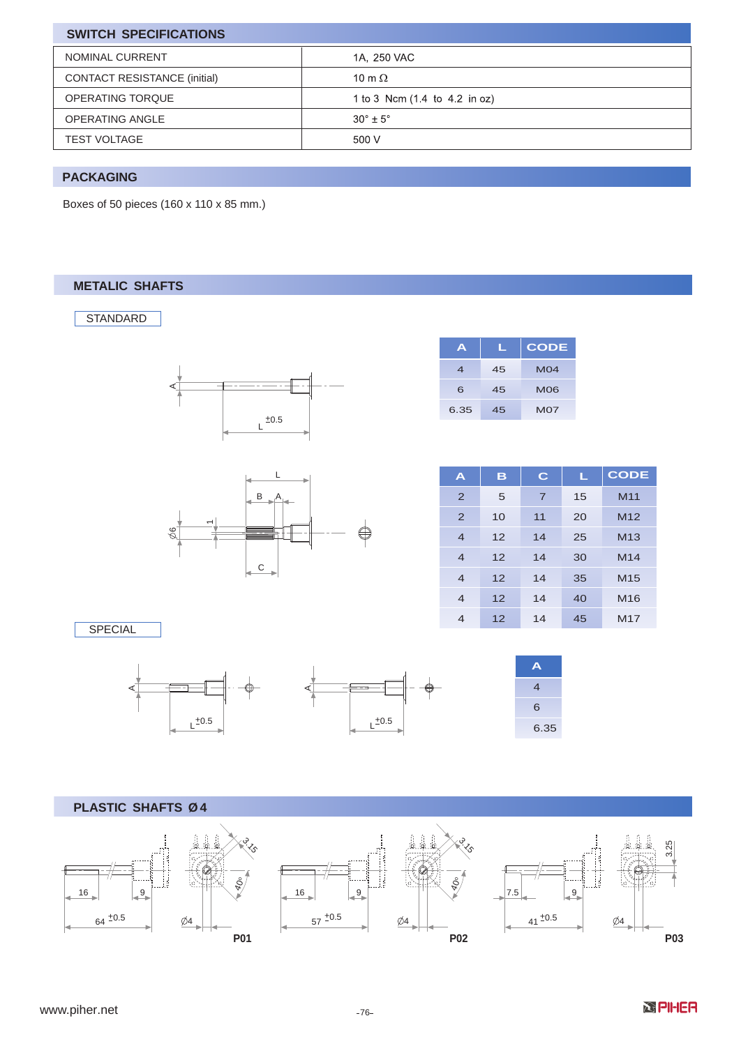| <b>SWITCH SPECIFICATIONS</b>        |                               |  |
|-------------------------------------|-------------------------------|--|
| NOMINAL CURRENT                     | 1A, 250 VAC                   |  |
| <b>CONTACT RESISTANCE (initial)</b> | 10 m $\Omega$                 |  |
| OPERATING TORQUE                    | 1 to 3 Ncm (1.4 to 4.2 in oz) |  |
| <b>OPERATING ANGLE</b>              | $30^{\circ} + 5^{\circ}$      |  |
| <b>TEST VOLTAGE</b>                 | 500 V                         |  |

# **PACKAGING**

Boxes of 50 pieces (160 x 110 x 85 mm.)

# **METALIC SHAFTS**

**STANDARD** 





| A    |    | <b>CODE</b> |
|------|----|-------------|
| 4    | 45 | MO4         |
| 6    | 45 | <b>MO6</b>  |
| 6.35 | 45 | <b>M07</b>  |

| A                        | B  | C              | L  | <b>CODE</b>     |
|--------------------------|----|----------------|----|-----------------|
| $\overline{2}$           | 5  | $\overline{7}$ | 15 | M <sub>11</sub> |
| $\overline{2}$           | 10 | 11             | 20 | M <sub>12</sub> |
| $\overline{4}$           | 12 | 14             | 25 | M <sub>13</sub> |
| $\overline{4}$           | 12 | 14             | 30 | M <sub>14</sub> |
| $\overline{4}$           | 12 | 14             | 35 | M <sub>15</sub> |
| $\overline{4}$           | 12 | 14             | 40 | M16             |
| $\overline{\mathcal{A}}$ | 12 | 14             | 45 | M <sub>17</sub> |

SPECIAL





| Α    |
|------|
| 4    |
| 6    |
| 6.35 |